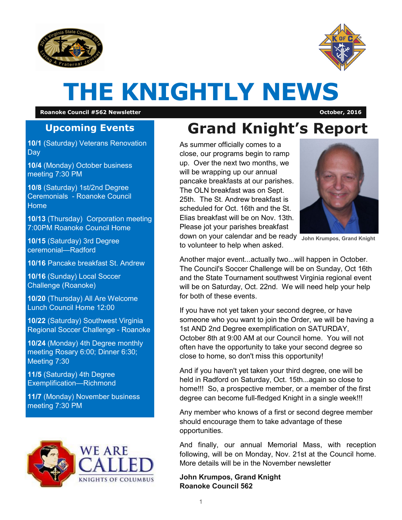



# **THE KNIGHTLY NEWS**

**Roanoke Council #562 Newsletter October, 2016**

#### **Upcoming Events**

**10/1** (Saturday) Veterans Renovation **Day** 

**10/4** (Monday) October business meeting 7:30 PM

**10/8** (Saturday) 1st/2nd Degree Ceremonials - Roanoke Council Home

**10/13** (Thursday) Corporation meeting 7:00PM Roanoke Council Home

**10/15** (Saturday) 3rd Degree ceremonial—Radford

**10/16** Pancake breakfast St. Andrew

**10/16** (Sunday) Local Soccer Challenge (Roanoke)

**10/20** (Thursday) All Are Welcome Lunch Council Home 12:00

**10/22** (Saturday) Southwest Virginia Regional Soccer Challenge - Roanoke

**10/24** (Monday) 4th Degree monthly meeting Rosary 6:00; Dinner 6:30; Meeting 7:30

**11/5** (Saturday) 4th Degree Exemplification—Richmond

**11/7** (Monday) November business meeting 7:30 PM



# **Grand Knight's Report**

As summer officially comes to a close, our programs begin to ramp up. Over the next two months, we will be wrapping up our annual pancake breakfasts at our parishes. The OLN breakfast was on Sept. 25th. The St. Andrew breakfast is scheduled for Oct. 16th and the St. Elias breakfast will be on Nov. 13th. Please jot your parishes breakfast down on your calendar and be ready **John Krumpos, Grand Knight**



to volunteer to help when asked.

Another major event...actually two...will happen in October. The Council's Soccer Challenge will be on Sunday, Oct 16th and the State Tournament southwest Virginia regional event will be on Saturday, Oct. 22nd. We will need help your help for both of these events.

If you have not yet taken your second degree, or have someone who you want to join the Order, we will be having a 1st AND 2nd Degree exemplification on SATURDAY, October 8th at 9:00 AM at our Council home. You will not often have the opportunity to take your second degree so close to home, so don't miss this opportunity!

And if you haven't yet taken your third degree, one will be held in Radford on Saturday, Oct. 15th...again so close to home!!! So, a prospective member, or a member of the first degree can become full-fledged Knight in a single week!!!

Any member who knows of a first or second degree member should encourage them to take advantage of these opportunities.

And finally, our annual Memorial Mass, with reception following, will be on Monday, Nov. 21st at the Council home. More details will be in the November newsletter

**John Krumpos, Grand Knight Roanoke Council 562**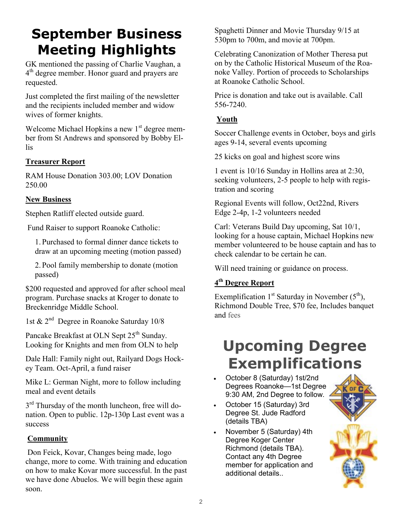### **September Business Meeting Highlights**

GK mentioned the passing of Charlie Vaughan, a 4 th degree member. Honor guard and prayers are requested.

Just completed the first mailing of the newsletter and the recipients included member and widow wives of former knights.

Welcome Michael Hopkins a new  $1<sup>st</sup>$  degree member from St Andrews and sponsored by Bobby Ellis

#### **Treasurer Report**

RAM House Donation 303.00; LOV Donation 250.00

#### **New Business**

Stephen Ratliff elected outside guard.

Fund Raiser to support Roanoke Catholic:

1. Purchased to formal dinner dance tickets to draw at an upcoming meeting (motion passed)

2. Pool family membership to donate (motion passed)

\$200 requested and approved for after school meal program. Purchase snacks at Kroger to donate to Breckenridge Middle School.

1st & 2nd Degree in Roanoke Saturday 10/8

Pancake Breakfast at OLN Sept 25<sup>th</sup> Sunday. Looking for Knights and men from OLN to help

Dale Hall: Family night out, Railyard Dogs Hockey Team. Oct-April, a fund raiser

Mike L: German Night, more to follow including meal and event details

3<sup>rd</sup> Thursday of the month luncheon, free will donation. Open to public. 12p-130p Last event was a success

#### **Community**

Don Feick, Kovar, Changes being made, logo change, more to come. With training and education on how to make Kovar more successful. In the past we have done Abuelos. We will begin these again soon.

Spaghetti Dinner and Movie Thursday 9/15 at 530pm to 700m, and movie at 700pm.

Celebrating Canonization of Mother Theresa put on by the Catholic Historical Museum of the Roanoke Valley. Portion of proceeds to Scholarships at Roanoke Catholic School.

Price is donation and take out is available. Call 556-7240.

#### **Youth**

Soccer Challenge events in October, boys and girls ages 9-14, several events upcoming

25 kicks on goal and highest score wins

1 event is 10/16 Sunday in Hollins area at 2:30, seeking volunteers, 2-5 people to help with registration and scoring

Regional Events will follow, Oct22nd, Rivers Edge 2-4p, 1-2 volunteers needed

Carl: Veterans Build Day upcoming, Sat 10/1, looking for a house captain, Michael Hopkins new member volunteered to be house captain and has to check calendar to be certain he can.

Will need training or guidance on process.

#### **4 th Degree Report**

Exemplification  $1<sup>st</sup>$  Saturday in November ( $5<sup>th</sup>$ ), Richmond Double Tree, \$70 fee, Includes banquet and fees

### **Upcoming Degree Exemplifications**

- October 8 (Saturday) 1st/2nd Degrees Roanoke—1st Degree 9:30 AM, 2nd Degree to follow.
- October 15 (Saturday) 3rd Degree St. Jude Radford (details TBA)
- November 5 (Saturday) 4th Degree Koger Center Richmond (details TBA). Contact any 4th Degree member for application and additional details..

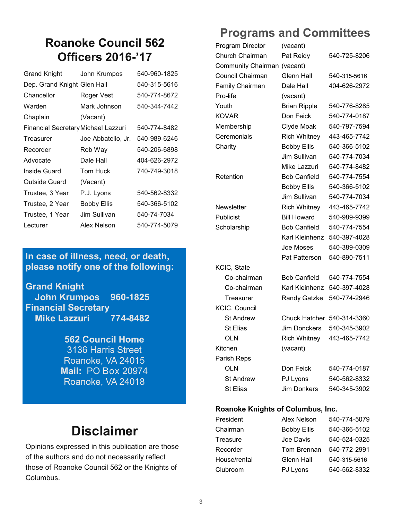### **Roanoke Council 562 Officers 2016-'17**

| <b>Grand Knight</b>                 | John Krumpos       | 540-960-1825 |
|-------------------------------------|--------------------|--------------|
| Dep. Grand Knight Glen Hall         |                    | 540-315-5616 |
| Chancellor                          | Roger Vest         | 540-774-8672 |
| Warden                              | Mark Johnson       | 540-344-7442 |
| Chaplain                            | (Vacant)           |              |
| Financial Secretary Michael Lazzuri |                    | 540-774-8482 |
| Treasurer                           | Joe Abbatello, Jr. | 540-989-6246 |
| Recorder                            | Rob Way            | 540-206-6898 |
| Advocate                            | Dale Hall          | 404-626-2972 |
| Inside Guard                        | Tom Huck           | 740-749-3018 |
| Outside Guard                       | (Vacant)           |              |
| Trustee, 3 Year                     | P.J. Lyons         | 540-562-8332 |
| Trustee, 2 Year                     | Bobby Ellis        | 540-366-5102 |
| Trustee, 1 Year                     | Jim Sullivan       | 540-74-7034  |
| Lecturer                            | Alex Nelson        | 540-774-5079 |

#### **In case of illness, need, or death, please notify one of the following:**

**Grand Knight John Krumpos 960-1825 Financial Secretary Mike Lazzuri 774-8482**

> **562 Council Home**  3136 Harris Street Roanoke, VA 24015 **Mail:** PO Box 20974 Roanoke, VA 24018

### **Disclaimer**

Opinions expressed in this publication are those of the authors and do not necessarily reflect those of Roanoke Council 562 or the Knights of Columbus.

### **Programs and Committees**

| Program Director          | (vacant)             |              |
|---------------------------|----------------------|--------------|
| Church Chairman           | Pat Reidy            | 540-725-8206 |
| <b>Community Chairman</b> | (vacant)             |              |
| Council Chairman          | <b>Glenn Hall</b>    | 540-315-5616 |
| <b>Family Chairman</b>    | Dale Hall            | 404-626-2972 |
| Pro-life                  | (vacant)             |              |
| Youth                     | <b>Brian Ripple</b>  | 540-776-8285 |
| <b>KOVAR</b>              | Don Feick            | 540-774-0187 |
| Membership                | Clyde Moak           | 540-797-7594 |
| Ceremonials               | <b>Rich Whitney</b>  | 443-465-7742 |
| Charity                   | <b>Bobby Ellis</b>   | 540-366-5102 |
|                           | Jim Sullivan         | 540-774-7034 |
|                           | Mike Lazzuri         | 540-774-8482 |
| Retention                 | <b>Bob Canfield</b>  | 540-774-7554 |
|                           | <b>Bobby Ellis</b>   | 540-366-5102 |
|                           | Jim Sullivan         | 540-774-7034 |
| Newsletter                | <b>Rich Whitney</b>  | 443-465-7742 |
| Publicist                 | <b>Bill Howard</b>   | 540-989-9399 |
| Scholarship               | <b>Bob Canfield</b>  | 540-774-7554 |
|                           | Karl Kleinhenz       | 540-397-4028 |
|                           | Joe Moses            | 540-389-0309 |
|                           | <b>Pat Patterson</b> | 540-890-7511 |
| KCIC, State               |                      |              |
| Co-chairman               | <b>Bob Canfield</b>  | 540-774-7554 |
| Co-chairman               | Karl Kleinhenz       | 540-397-4028 |
| Treasurer                 | <b>Randy Gatzke</b>  | 540-774-2946 |
| <b>KCIC, Council</b>      |                      |              |
| <b>St Andrew</b>          | <b>Chuck Hatcher</b> | 540-314-3360 |
| St Elias                  | Jim Donckers         | 540-345-3902 |
| <b>OLN</b>                | Rich Whitney         | 443-465-7742 |
| Kitchen                   | (vacant)             |              |
| Parish Reps               |                      |              |
| OLN                       | Don Feick            | 540-774-0187 |
| <b>St Andrew</b>          | PJ Lyons             | 540-562-8332 |
| <b>St Elias</b>           | Jim Donkers          | 540-345-3902 |

#### **Roanoke Knights of Columbus, Inc.**

| President    | Alex Nelson        | 540-774-5079 |
|--------------|--------------------|--------------|
| Chairman     | <b>Bobby Ellis</b> | 540-366-5102 |
| Treasure     | Joe Davis          | 540-524-0325 |
| Recorder     | Tom Brennan        | 540-772-2991 |
| House/rental | <b>Glenn Hall</b>  | 540-315-5616 |
| Clubroom     | PJ Lyons           | 540-562-8332 |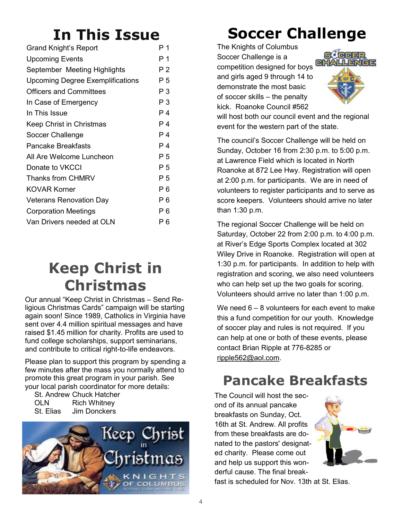# **In This Issue**

| Grand Knight's Report                   | Р1  |
|-----------------------------------------|-----|
| <b>Upcoming Events</b>                  | P 1 |
| September Meeting Highlights            | P 2 |
| <b>Upcoming Degree Exemplifications</b> | Ρ5  |
| <b>Officers and Committees</b>          | Р3  |
| In Case of Emergency                    | Р3  |
| In This Issue                           | P 4 |
| Keep Christ in Christmas                | P 4 |
| Soccer Challenge                        | P 4 |
| Pancake Breakfasts                      | P 4 |
| All Are Welcome Luncheon                | P 5 |
| Donate to VKCCI                         | Ρ5  |
| <b>Thanks from CHMRV</b>                | P 5 |
| <b>KOVAR Korner</b>                     | P 6 |
| <b>Veterans Renovation Day</b>          | P 6 |
| <b>Corporation Meetings</b>             | P 6 |
| Van Drivers needed at OLN               | P 6 |

### **Keep Christ in Christmas**

Our annual "Keep Christ in Christmas – Send Religious Christmas Cards" campaign will be starting again soon! Since 1989, Catholics in Virginia have sent over 4.4 million spiritual messages and have raised \$1.45 million for charity. Profits are used to fund college scholarships, support seminarians, and contribute to critical right-to-life endeavors.

Please plan to support this program by spending a few minutes after the mass you normally attend to promote this great program in your parish. See your local parish coordinator for more details:

St. Andrew Chuck Hatcher OLN Rich Whitney St. Elias Jim Donckers



# **Soccer Challenge**

The Knights of Columbus Soccer Challenge is a competition designed for boys and girls aged 9 through 14 to demonstrate the most basic of soccer skills – the penalty kick. Roanoke Council #562



will host both our council event and the regional event for the western part of the state.

The council's Soccer Challenge will be held on Sunday, October 16 from 2:30 p.m. to 5:00 p.m. at Lawrence Field which is located in North Roanoke at 872 Lee Hwy. Registration will open at 2:00 p.m. for participants. We are in need of volunteers to register participants and to serve as score keepers. Volunteers should arrive no later than 1:30 p.m.

The regional Soccer Challenge will be held on Saturday, October 22 from 2:00 p.m. to 4:00 p.m. at River's Edge Sports Complex located at 302 Wiley Drive in Roanoke. Registration will open at 1:30 p.m. for participants. In addition to help with registration and scoring, we also need volunteers who can help set up the two goals for scoring. Volunteers should arrive no later than 1:00 p.m.

We need  $6 - 8$  volunteers for each event to make this a fund competition for our youth. Knowledge of soccer play and rules is not required. If you can help at one or both of these events, please contact Brian Ripple at 776-8285 or [ripple562@aol.com.](mailto:ripple562@aol.com) 

### **Pancake Breakfasts**

The Council will host the second of its annual pancake breakfasts on Sunday, Oct. 16th at St. Andrew. All profits from these breakfasts are donated to the pastors' designated charity. Please come out and help us support this wonderful cause. The final break-



fast is scheduled for Nov. 13th at St. Elias.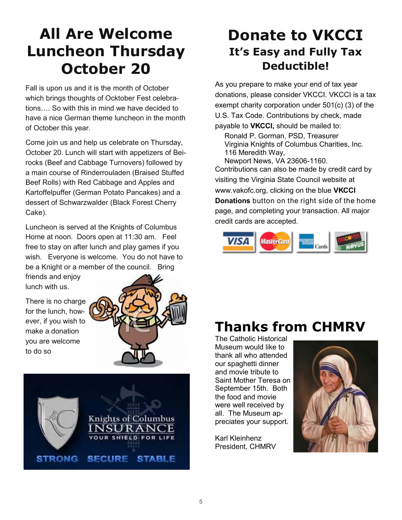### **All Are Welcome Luncheon Thursday October 20**

Fall is upon us and it is the month of October which brings thoughts of Ocktober Fest celebrations…. So with this in mind we have decided to have a nice German theme luncheon in the month of October this year.

Come join us and help us celebrate on Thursday, October 20. Lunch will start with appetizers of Beirocks (Beef and Cabbage Turnovers) followed by a main course of Rinderrouladen (Braised Stuffed Beef Rolls) with Red Cabbage and Apples and Kartoffelpuffer (German Potato Pancakes) and a dessert of Schwarzwalder (Black Forest Cherry Cake).

Luncheon is served at the Knights of Columbus Home at noon. Doors open at 11:30 am. Feel free to stay on after lunch and play games if you wish. Everyone is welcome. You do not have to be a Knight or a member of the council. Bring

friends and enjoy lunch with us.

There is no charge for the lunch, however, if you wish to make a donation you are welcome to do so





### **Donate to VKCCI It's Easy and Fully Tax Deductible!**

As you prepare to make your end of tax year donations, please consider VKCCI. VKCCI is a tax exempt charity corporation under 501(c) (3) of the U.S. Tax Code. Contributions by check, made payable to **VKCCI,** should be mailed to:

Ronald P. Gorman, PSD, Treasurer Virginia Knights of Columbus Charities, Inc. 116 Meredith Way,

Newport News, VA 23606-1160. Contributions can also be made by credit card by visiting the Virginia State Council website at www.vakofc.org, clicking on the blue **VKCCI Donations** button on the right side of the home page, and completing your transaction. All major credit cards are accepted.



### **Thanks from CHMRV**

The Catholic Historical Museum would like to thank all who attended our spaghetti dinner and movie tribute to Saint Mother Teresa on September 15th. Both the food and movie were well received by all. The Museum appreciates your support.

Karl Kleinhenz President, CHMRV